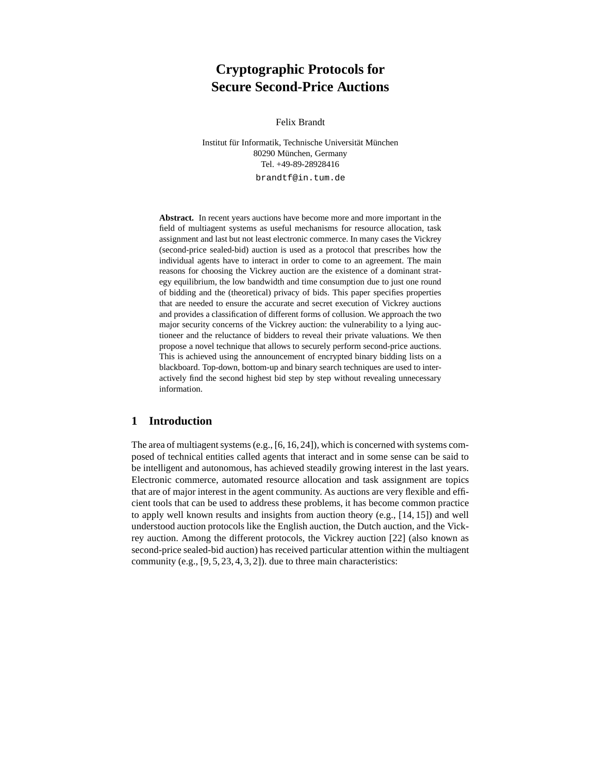# **Cryptographic Protocols for Secure Second-Price Auctions**

Felix Brandt

Institut für Informatik, Technische Universität München 80290 München, Germany Tel. +49-89-28928416 brandtf@in.tum.de

**Abstract.** In recent years auctions have become more and more important in the field of multiagent systems as useful mechanisms for resource allocation, task assignment and last but not least electronic commerce. In many cases the Vickrey (second-price sealed-bid) auction is used as a protocol that prescribes how the individual agents have to interact in order to come to an agreement. The main reasons for choosing the Vickrey auction are the existence of a dominant strategy equilibrium, the low bandwidth and time consumption due to just one round of bidding and the (theoretical) privacy of bids. This paper specifies properties that are needed to ensure the accurate and secret execution of Vickrey auctions and provides a classification of different forms of collusion. We approach the two major security concerns of the Vickrey auction: the vulnerability to a lying auctioneer and the reluctance of bidders to reveal their private valuations. We then propose a novel technique that allows to securely perform second-price auctions. This is achieved using the announcement of encrypted binary bidding lists on a blackboard. Top-down, bottom-up and binary search techniques are used to interactively find the second highest bid step by step without revealing unnecessary

# **1 Introduction**

information.

The area of multiagent systems (e.g.,  $[6, 16, 24]$ ), which is concerned with systems composed of technical entities called agents that interact and in some sense can be said to be intelligent and autonomous, has achieved steadily growing interest in the last years. Electronic commerce, automated resource allocation and task assignment are topics that are of major interest in the agent community. As auctions are very flexible and efficient tools that can be used to address these problems, it has become common practice to apply well known results and insights from auction theory  $(e.g., [14, 15])$  and well understood auction protocols like the English auction, the Dutch auction, and the Vickrey auction. Among the different protocols, the Vickrey auction [22] (also known as second-price sealed-bid auction) has received particular attention within the multiagent community (e.g., [9, 5, 23, 4, 3, 2]). due to three main characteristics: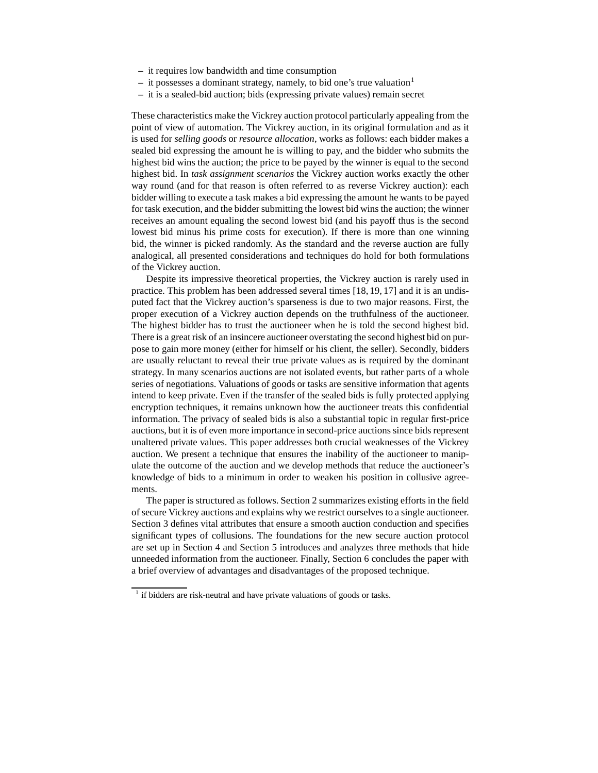- **–** it requires low bandwidth and time consumption
- **–** it possesses a dominant strategy, namely, to bid one's true valuation<sup>1</sup>
- **–** it is a sealed-bid auction; bids (expressing private values) remain secret

These characteristics make the Vickrey auction protocol particularly appealing from the point of view of automation. The Vickrey auction, in its original formulation and as it is used for *selling goods* or *resource allocation*, works as follows: each bidder makes a sealed bid expressing the amount he is willing to pay, and the bidder who submits the highest bid wins the auction; the price to be payed by the winner is equal to the second highest bid. In *task assignment scenarios* the Vickrey auction works exactly the other way round (and for that reason is often referred to as reverse Vickrey auction): each bidder willing to execute a task makes a bid expressing the amount he wants to be payed for task execution, and the bidder submitting the lowest bid wins the auction; the winner receives an amount equaling the second lowest bid (and his payoff thus is the second lowest bid minus his prime costs for execution). If there is more than one winning bid, the winner is picked randomly. As the standard and the reverse auction are fully analogical, all presented considerations and techniques do hold for both formulations of the Vickrey auction.

Despite its impressive theoretical properties, the Vickrey auction is rarely used in practice. This problem has been addressed several times [18, 19, 17] and it is an undisputed fact that the Vickrey auction's sparseness is due to two major reasons. First, the proper execution of a Vickrey auction depends on the truthfulness of the auctioneer. The highest bidder has to trust the auctioneer when he is told the second highest bid. There is a great risk of an insincere auctioneer overstating the second highest bid on purpose to gain more money (either for himself or his client, the seller). Secondly, bidders are usually reluctant to reveal their true private values as is required by the dominant strategy. In many scenarios auctions are not isolated events, but rather parts of a whole series of negotiations. Valuations of goods or tasks are sensitive information that agents intend to keep private. Even if the transfer of the sealed bids is fully protected applying encryption techniques, it remains unknown how the auctioneer treats this confidential information. The privacy of sealed bids is also a substantial topic in regular first-price auctions, but it is of even more importance in second-price auctions since bids represent unaltered private values. This paper addresses both crucial weaknesses of the Vickrey auction. We present a technique that ensures the inability of the auctioneer to manipulate the outcome of the auction and we develop methods that reduce the auctioneer's knowledge of bids to a minimum in order to weaken his position in collusive agreements.

The paper is structured as follows. Section 2 summarizes existing efforts in the field of secure Vickrey auctions and explains why we restrict ourselves to a single auctioneer. Section 3 defines vital attributes that ensure a smooth auction conduction and specifies significant types of collusions. The foundations for the new secure auction protocol are set up in Section 4 and Section 5 introduces and analyzes three methods that hide unneeded information from the auctioneer. Finally, Section 6 concludes the paper with a brief overview of advantages and disadvantages of the proposed technique.

 $<sup>1</sup>$  if bidders are risk-neutral and have private valuations of goods or tasks.</sup>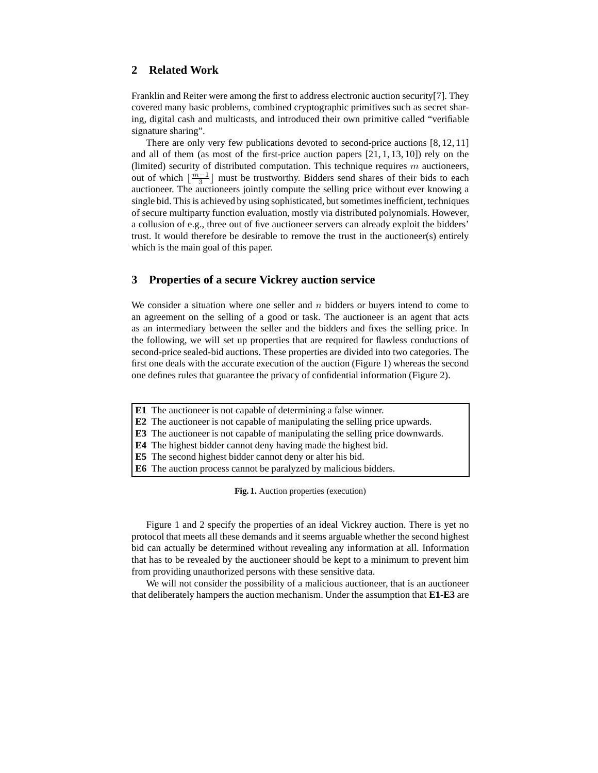# **2 Related Work**

Franklin and Reiter were among the first to address electronic auction security[7]. They covered many basic problems, combined cryptographic primitives such as secret sharing, digital cash and multicasts, and introduced their own primitive called "verifiable signature sharing".

There are only very few publications devoted to second-price auctions [8, 12, 11] and all of them (as most of the first-price auction papers  $[21, 1, 13, 10]$ ) rely on the (limited) security of distributed computation. This technique requires  $m$  auctioneers, out of which  $\lfloor \frac{m-1}{3} \rfloor$  must be trustworthy. Bidders send shares of their bids to each auctioneer. The auctioneers jointly compute the selling price without ever knowing a single bid. This is achieved by using sophisticated, but sometimes inefficient, techniques of secure multiparty function evaluation, mostly via distributed polynomials. However, a collusion of e.g., three out of five auctioneer servers can already exploit the bidders' trust. It would therefore be desirable to remove the trust in the auctioneer(s) entirely which is the main goal of this paper.

# **3 Properties of a secure Vickrey auction service**

We consider a situation where one seller and  $n$  bidders or buyers intend to come to an agreement on the selling of a good or task. The auctioneer is an agent that acts as an intermediary between the seller and the bidders and fixes the selling price. In the following, we will set up properties that are required for flawless conductions of second-price sealed-bid auctions. These properties are divided into two categories. The first one deals with the accurate execution of the auction (Figure 1) whereas the second one defines rules that guarantee the privacy of confidential information (Figure 2).

- **E1** The auctioneer is not capable of determining a false winner.
- **E2** The auctioneer is not capable of manipulating the selling price upwards.
- **E3** The auctioneer is not capable of manipulating the selling price downwards.
- **E4** The highest bidder cannot deny having made the highest bid.
- **E5** The second highest bidder cannot deny or alter his bid.
- **E6** The auction process cannot be paralyzed by malicious bidders.

**Fig. 1.** Auction properties (execution)

Figure 1 and 2 specify the properties of an ideal Vickrey auction. There is yet no protocol that meets all these demands and it seems arguable whether the second highest bid can actually be determined without revealing any information at all. Information that has to be revealed by the auctioneer should be kept to a minimum to prevent him from providing unauthorized persons with these sensitive data.

We will not consider the possibility of a malicious auctioneer, that is an auctioneer that deliberately hampers the auction mechanism. Under the assumption that **E1**-**E3** are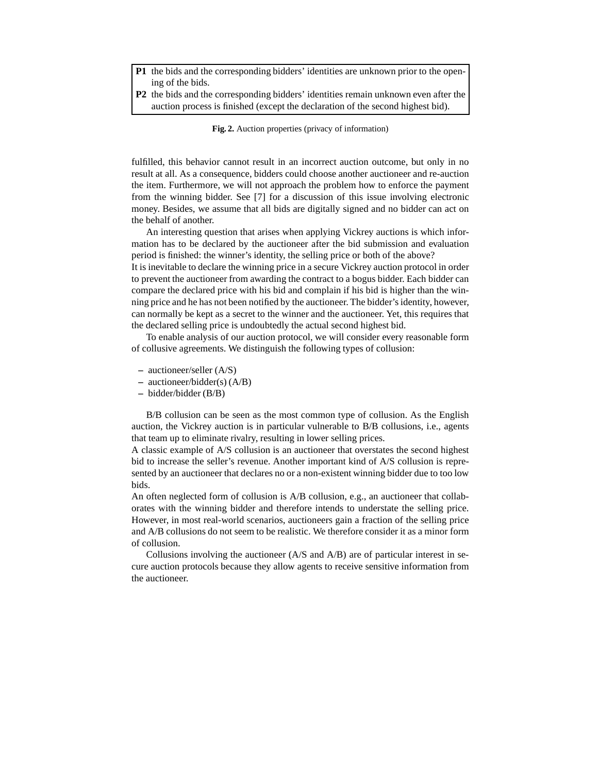- **P1** the bids and the corresponding bidders' identities are unknown prior to the opening of the bids.
- **P2** the bids and the corresponding bidders' identities remain unknown even after the auction process is finished (except the declaration of the second highest bid).

**Fig. 2.** Auction properties (privacy of information)

fulfilled, this behavior cannot result in an incorrect auction outcome, but only in no result at all. As a consequence, bidders could choose another auctioneer and re-auction the item. Furthermore, we will not approach the problem how to enforce the payment from the winning bidder. See [7] for a discussion of this issue involving electronic money. Besides, we assume that all bids are digitally signed and no bidder can act on the behalf of another.

An interesting question that arises when applying Vickrey auctions is which information has to be declared by the auctioneer after the bid submission and evaluation period is finished: the winner's identity, the selling price or both of the above?

It is inevitable to declare the winning price in a secure Vickrey auction protocol in order to prevent the auctioneer from awarding the contract to a bogus bidder. Each bidder can compare the declared price with his bid and complain if his bid is higher than the winning price and he has not been notified by the auctioneer. The bidder'sidentity, however, can normally be kept as a secret to the winner and the auctioneer. Yet, this requires that the declared selling price is undoubtedly the actual second highest bid.

To enable analysis of our auction protocol, we will consider every reasonable form of collusive agreements. We distinguish the following types of collusion:

- **–** auctioneer/seller (A/S)
- **–** auctioneer/bidder(s) (A/B)
- **–** bidder/bidder (B/B)

B/B collusion can be seen as the most common type of collusion. As the English auction, the Vickrey auction is in particular vulnerable to B/B collusions, i.e., agents that team up to eliminate rivalry, resulting in lower selling prices.

A classic example of A/S collusion is an auctioneer that overstates the second highest bid to increase the seller's revenue. Another important kind of A/S collusion is represented by an auctioneer that declares no or a non-existent winning bidder due to too low bids.

An often neglected form of collusion is A/B collusion, e.g., an auctioneer that collaborates with the winning bidder and therefore intends to understate the selling price. However, in most real-world scenarios, auctioneers gain a fraction of the selling price and A/B collusions do not seem to be realistic. We therefore consider it as a minor form of collusion.

Collusions involving the auctioneer (A/S and A/B) are of particular interest in secure auction protocols because they allow agents to receive sensitive information from the auctioneer.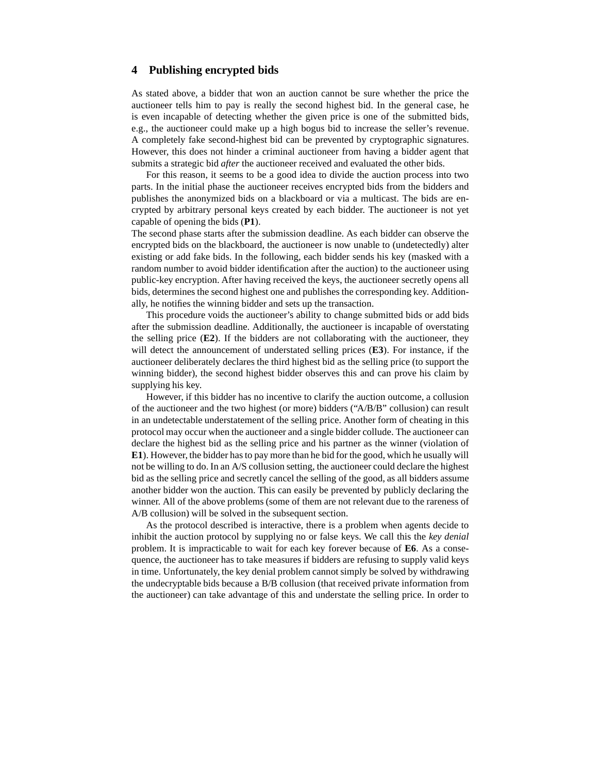# **4 Publishing encrypted bids**

As stated above, a bidder that won an auction cannot be sure whether the price the auctioneer tells him to pay is really the second highest bid. In the general case, he is even incapable of detecting whether the given price is one of the submitted bids, e.g., the auctioneer could make up a high bogus bid to increase the seller's revenue. A completely fake second-highest bid can be prevented by cryptographic signatures. However, this does not hinder a criminal auctioneer from having a bidder agent that submits a strategic bid *after* the auctioneer received and evaluated the other bids.

For this reason, it seems to be a good idea to divide the auction process into two parts. In the initial phase the auctioneer receives encrypted bids from the bidders and publishes the anonymized bids on a blackboard or via a multicast. The bids are encrypted by arbitrary personal keys created by each bidder. The auctioneer is not yet capable of opening the bids (**P1**).

The second phase starts after the submission deadline. As each bidder can observe the encrypted bids on the blackboard, the auctioneer is now unable to (undetectedly) alter existing or add fake bids. In the following, each bidder sends his key (masked with a random number to avoid bidder identification after the auction) to the auctioneer using public-key encryption. After having received the keys, the auctioneer secretly opens all bids, determines the second highest one and publishes the corresponding key. Additionally, he notifies the winning bidder and sets up the transaction.

This procedure voids the auctioneer's ability to change submitted bids or add bids after the submission deadline. Additionally, the auctioneer is incapable of overstating the selling price (**E2**). If the bidders are not collaborating with the auctioneer, they will detect the announcement of understated selling prices (**E3**). For instance, if the auctioneer deliberately declares the third highest bid as the selling price (to support the winning bidder), the second highest bidder observes this and can prove his claim by supplying his key.

However, if this bidder has no incentive to clarify the auction outcome, a collusion of the auctioneer and the two highest (or more) bidders ("A/B/B" collusion) can result in an undetectable understatement of the selling price. Another form of cheating in this protocol may occur when the auctioneer and a single bidder collude. The auctioneer can declare the highest bid as the selling price and his partner as the winner (violation of **E1**). However, the bidder has to pay more than he bid for the good, which he usually will not be willing to do. In an A/S collusion setting, the auctioneer could declare the highest bid as the selling price and secretly cancel the selling of the good, as all bidders assume another bidder won the auction. This can easily be prevented by publicly declaring the winner. All of the above problems (some of them are not relevant due to the rareness of A/B collusion) will be solved in the subsequent section.

As the protocol described is interactive, there is a problem when agents decide to inhibit the auction protocol by supplying no or false keys. We call this the *key denial* problem. It is impracticable to wait for each key forever because of **E6**. As a consequence, the auctioneer has to take measures if bidders are refusing to supply valid keys in time. Unfortunately, the key denial problem cannot simply be solved by withdrawing the undecryptable bids because a B/B collusion (that received private information from the auctioneer) can take advantage of this and understate the selling price. In order to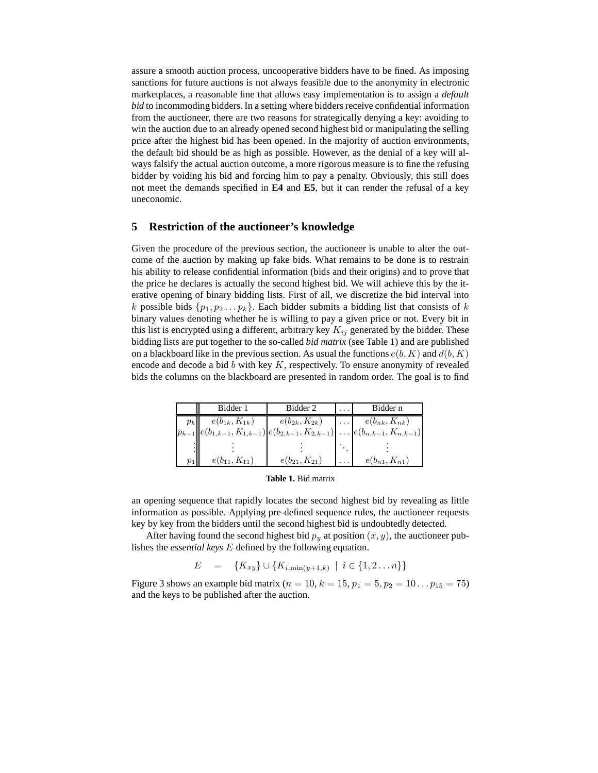assure a smooth auction process, uncooperative bidders have to be fined. As imposing sanctions for future auctions is not always feasible due to the anonymity in electronic marketplaces, a reasonable fine that allows easy implementation is to assign a *default bid* to incommoding bidders. In a setting where bidders receive confidential information from the auctioneer, there are two reasons for strategically denying a key: avoiding to win the auction due to an already opened second highest bid or manipulating the selling price after the highest bid has been opened. In the majority of auction environments, the default bid should be as high as possible. However, as the denial of a key will always falsify the actual auction outcome, a more rigorous measure is to fine the refusing bidder by voiding his bid and forcing him to pay a penalty. Obviously, this still does not meet the demands specified in **E4** and **E5**, but it can render the refusal of a key uneconomic.

### **5 Restriction of the auctioneer's knowledge**

Given the procedure of the previous section, the auctioneer is unable to alter the outcome of the auction by making up fake bids. What remains to be done is to restrain his ability to release confidential information (bids and their origins) and to prove that the price he declares is actually the second highest bid. We will achieve this by the iterative opening of binary bidding lists. First of all, we discretize the bid interval into k possible bids  $\{p_1, p_2 \ldots p_k\}$ . Each bidder submits a bidding list that consists of k binary values denoting whether he is willing to pay a given price or not. Every bit in this list is encrypted using a different, arbitrary key  $K_{ij}$  generated by the bidder. These bidding lists are put together to the so-called *bid matrix* (see Table 1) and are published on a blackboard like in the previous section. As usual the functions  $e(b, K)$  and  $d(b, K)$ encode and decode a bid  $b$  with key  $K$ , respectively. To ensure anonymity of revealed bids the columns on the blackboard are presented in random order. The goal is to find

|       | Bidder 1                                                                                                                                                                                                                              | Bidder 2           |  |                     |
|-------|---------------------------------------------------------------------------------------------------------------------------------------------------------------------------------------------------------------------------------------|--------------------|--|---------------------|
|       |                                                                                                                                                                                                                                       |                    |  |                     |
|       | $\begin{bmatrix} p_k \ p_{k-1} \ e(b_{1k}, K_{1k}) \ p_{k-1} \end{bmatrix} \begin{bmatrix} e(b_{2k}, K_{2k}) \ e(b_{2,k-1}, K_{2,k-1}) \end{bmatrix} \dots \begin{bmatrix} e(b_{nk}, K_{nk}) \ e(b_{n,k-1}, K_{n,k-1}) \end{bmatrix}$ |                    |  |                     |
|       |                                                                                                                                                                                                                                       |                    |  |                     |
| $p_1$ | $e(b_{11}, K_{11})$                                                                                                                                                                                                                   | $e(b_{21},K_{21})$ |  | $e(b_{n1}, K_{n1})$ |

**Table 1.** Bid matrix

an opening sequence that rapidly locates the second highest bid by revealing as little information as possible. Applying pre-defined sequence rules, the auctioneer requests key by key from the bidders until the second highest bid is undoubtedly detected.

After having found the second highest bid  $p_y$  at position  $(x, y)$ , the auctioneer publishes the *essential keys* E defined by the following equation.

 $E = \{K_{xy}\} \cup \{K_{i,\min(y+1,k)} \mid i \in \{1,2...n\}\}\$ 

Figure 3 shows an example bid matrix ( $n = 10$ ,  $k = 15$ ,  $p_1 = 5$ ,  $p_2 = 10 \dots p_{15} = 75$ ) and the keys to be published after the auction.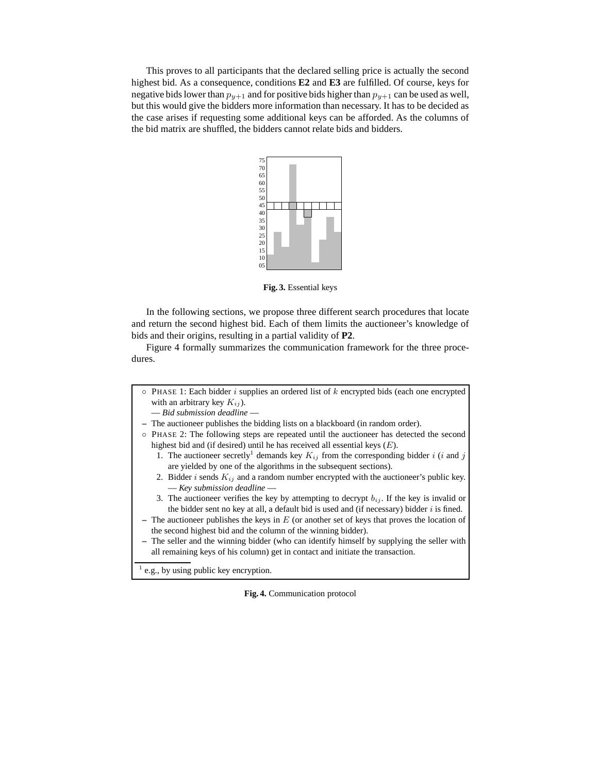This proves to all participants that the declared selling price is actually the second highest bid. As a consequence, conditions **E2** and **E3** are fulfilled. Of course, keys for negative bids lower than  $p_{y+1}$  and for positive bids higher than  $p_{y+1}$  can be used as well, but this would give the bidders more information than necessary. It has to be decided as the case arises if requesting some additional keys can be afforded. As the columns of the bid matrix are shuffled, the bidders cannot relate bids and bidders.



**Fig. 3.** Essential keys

In the following sections, we propose three different search procedures that locate and return the second highest bid. Each of them limits the auctioneer's knowledge of bids and their origins, resulting in a partial validity of **P2**.

Figure 4 formally summarizes the communication framework for the three procedures.

- $\circ$  PHASE 1: Each bidder i supplies an ordered list of k encrypted bids (each one encrypted with an arbitrary key  $K_{ij}$ ).
	- *Bid submission deadline* —
- **–** The auctioneer publishes the bidding lists on a blackboard (in random order).
- PHASE 2: The following steps are repeated until the auctioneer has detected the second highest bid and (if desired) until he has received all essential keys  $(E)$ .
	- 1. The auctioneer secretly<sup>1</sup> demands key  $K_{ij}$  from the corresponding bidder i (i and j are yielded by one of the algorithms in the subsequent sections).
	- 2. Bidder i sends  $K_{ij}$  and a random number encrypted with the auctioneer's public key. — *Key submission deadline* —
	- 3. The auctioneer verifies the key by attempting to decrypt  $b_{ij}$ . If the key is invalid or the bidder sent no key at all, a default bid is used and (if necessary) bidder  $i$  is fined.
- **–** The auctioneer publishes the keys in E (or another set of keys that proves the location of the second highest bid and the column of the winning bidder).
- **–** The seller and the winning bidder (who can identify himself by supplying the seller with all remaining keys of his column) get in contact and initiate the transaction.

1 e.g., by using public key encryption.

**Fig. 4.** Communication protocol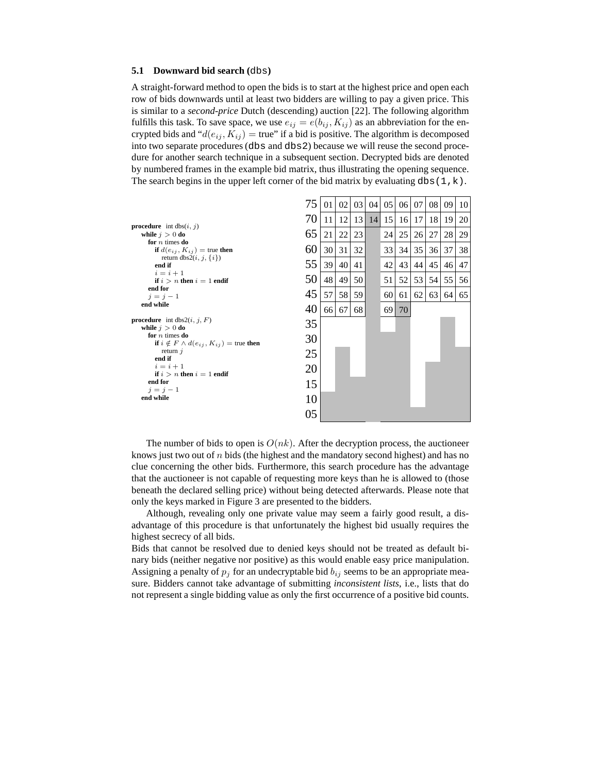#### **5.1 Downward bid search (**dbs**)**

A straight-forward method to open the bids is to start at the highest price and open each row of bids downwards until at least two bidders are willing to pay a given price. This is similar to a *second-price* Dutch (descending) auction [22]. The following algorithm fulfills this task. To save space, we use  $e_{ij} = e(b_{ij}, K_{ij})$  as an abbreviation for the encrypted bids and " $d(e_{ij}, K_{ij})$  = true" if a bid is positive. The algorithm is decomposed into two separate procedures (dbs and dbs2) because we will reuse the second procedure for another search technique in a subsequent section. Decrypted bids are denoted by numbered frames in the example bid matrix, thus illustrating the opening sequence. The search begins in the upper left corner of the bid matrix by evaluating dbs(1, $k$ ).

|                                                                                 | 75 | 01 | 02 <sub>1</sub> | 03 | 04 I | 05 | 06 | 07 | 08 | 09 | 10 |
|---------------------------------------------------------------------------------|----|----|-----------------|----|------|----|----|----|----|----|----|
|                                                                                 | 70 | 11 | 12              | 13 | 14   | 15 | 16 | 17 | 18 | 19 | 20 |
| <b>procedure</b> int dbs $(i, j)$<br>while $j > 0$ do                           | 65 | 21 | 22              | 23 |      | 24 | 25 | 26 | 27 | 28 | 29 |
| for $n$ times do<br>if $d(e_{ij}, K_{ij})$ = true then                          | 60 | 30 | 31              | 32 |      | 33 | 34 | 35 | 36 | 37 | 38 |
| return dbs2 $(i, j, \{i\})$<br>end if                                           | 55 | 39 | 40              | 41 |      | 42 | 43 | 44 | 45 | 46 | 47 |
| $i=i+1$<br>if $i > n$ then $i = 1$ endif                                        | 50 | 48 | 49              | 50 |      | 51 | 52 | 53 | 54 | 55 | 56 |
| end for<br>$j = j - 1$                                                          | 45 | 57 | 58              | 59 |      | 60 | 61 | 62 | 63 | 64 | 65 |
| end while                                                                       | 40 | 66 | 67 <sup>1</sup> | 68 |      | 69 | 70 |    |    |    |    |
| <b>procedure</b> int dbs2( <i>i</i> , <i>j</i> , <i>F</i> )<br>while $j > 0$ do | 35 |    |                 |    |      |    |    |    |    |    |    |
| for $n$ times do<br>if $i \notin F \wedge d(e_{ij}, K_{ij})$ = true then        | 30 |    |                 |    |      |    |    |    |    |    |    |
| return $j$<br>end if                                                            | 25 |    |                 |    |      |    |    |    |    |    |    |
| $i=i+1$                                                                         | 20 |    |                 |    |      |    |    |    |    |    |    |
| if $i > n$ then $i = 1$ endif<br>end for                                        | 15 |    |                 |    |      |    |    |    |    |    |    |
| $j = j - 1$<br>end while                                                        | 10 |    |                 |    |      |    |    |    |    |    |    |
|                                                                                 | 05 |    |                 |    |      |    |    |    |    |    |    |
|                                                                                 |    |    |                 |    |      |    |    |    |    |    |    |

The number of bids to open is  $O(nk)$ . After the decryption process, the auctioneer knows just two out of  $n$  bids (the highest and the mandatory second highest) and has no clue concerning the other bids. Furthermore, this search procedure has the advantage that the auctioneer is not capable of requesting more keys than he is allowed to (those beneath the declared selling price) without being detected afterwards. Please note that only the keys marked in Figure 3 are presented to the bidders.

Although, revealing only one private value may seem a fairly good result, a disadvantage of this procedure is that unfortunately the highest bid usually requires the highest secrecy of all bids.

Bids that cannot be resolved due to denied keys should not be treated as default binary bids (neither negative nor positive) as this would enable easy price manipulation. Assigning a penalty of  $p_i$  for an undecryptable bid  $b_{ij}$  seems to be an appropriate measure. Bidders cannot take advantage of submitting *inconsistent lists*, i.e., lists that do not represent a single bidding value as only the first occurrence of a positive bid counts.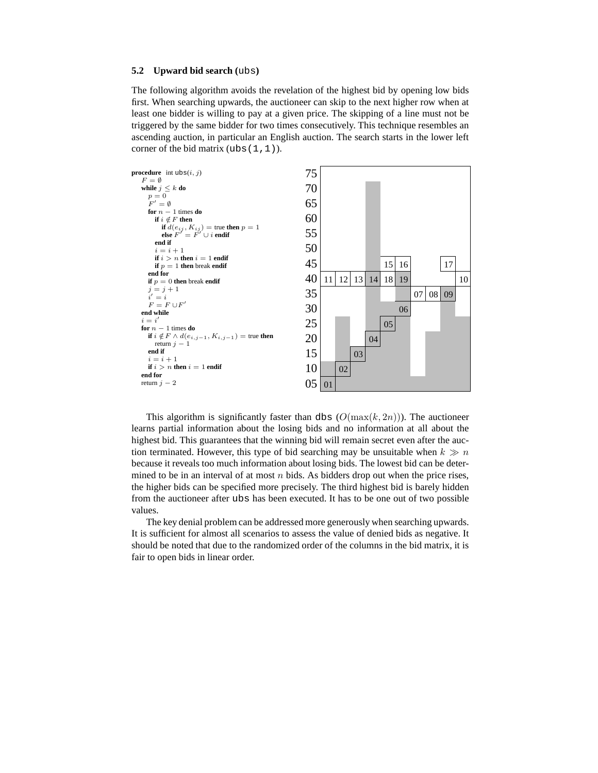#### **5.2 Upward bid search (**ubs**)**

The following algorithm avoids the revelation of the highest bid by opening low bids first. When searching upwards, the auctioneer can skip to the next higher row when at least one bidder is willing to pay at a given price. The skipping of a line must not be triggered by the same bidder for two times consecutively. This technique resembles an ascending auction, in particular an English auction. The search starts in the lower left corner of the bid matrix  $(ubs(1,1))$ .



This algorithm is significantly faster than dbs  $(O(\max(k, 2n)))$ . The auctioneer learns partial information about the losing bids and no information at all about the highest bid. This guarantees that the winning bid will remain secret even after the auction terminated. However, this type of bid searching may be unsuitable when  $k \gg n$ because it reveals too much information about losing bids. The lowest bid can be determined to be in an interval of at most  $n$  bids. As bidders drop out when the price rises, the higher bids can be specified more precisely. The third highest bid is barely hidden from the auctioneer after ubs has been executed. It has to be one out of two possible values.

The key denial problem can be addressed more generously when searching upwards. It is sufficient for almost all scenarios to assess the value of denied bids as negative. It should be noted that due to the randomized order of the columns in the bid matrix, it is fair to open bids in linear order.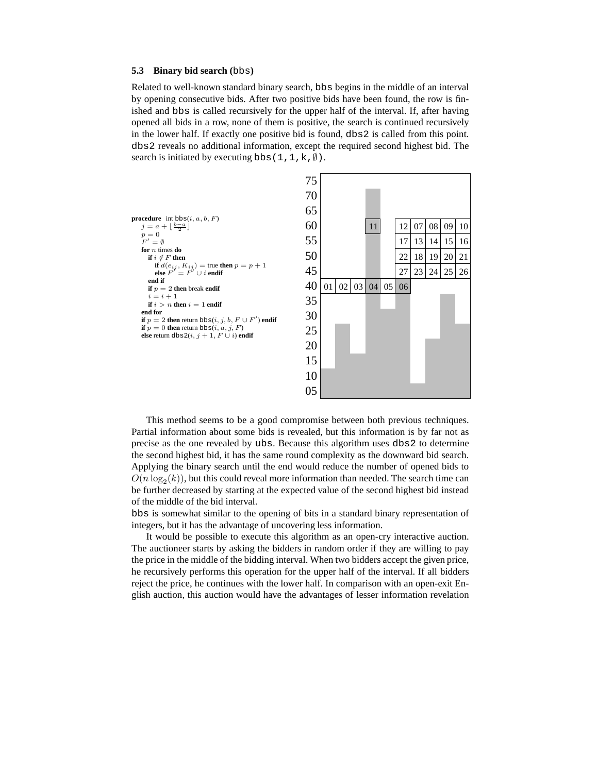#### **5.3 Binary bid search (**bbs**)**

Related to well-known standard binary search, bbs begins in the middle of an interval by opening consecutive bids. After two positive bids have been found, the row is finished and bbs is called recursively for the upper half of the interval. If, after having opened all bids in a row, none of them is positive, the search is continued recursively in the lower half. If exactly one positive bid is found, dbs2 is called from this point. dbs2 reveals no additional information, except the required second highest bid. The search is initiated by executing bbs  $(1,1,k,\emptyset)$ .



This method seems to be a good compromise between both previous techniques. Partial information about some bids is revealed, but this information is by far not as precise as the one revealed by ubs. Because this algorithm uses dbs2 to determine the second highest bid, it has the same round complexity as the downward bid search. Applying the binary search until the end would reduce the number of opened bids to  $O(n \log_2(k))$ , but this could reveal more information than needed. The search time can be further decreased by starting at the expected value of the second highest bid instead of the middle of the bid interval.

bbs is somewhat similar to the opening of bits in a standard binary representation of integers, but it has the advantage of uncovering less information.

It would be possible to execute this algorithm as an open-cry interactive auction. The auctioneer starts by asking the bidders in random order if they are willing to pay the price in the middle of the bidding interval. When two bidders accept the given price, he recursively performs this operation for the upper half of the interval. If all bidders reject the price, he continues with the lower half. In comparison with an open-exit English auction, this auction would have the advantages of lesser information revelation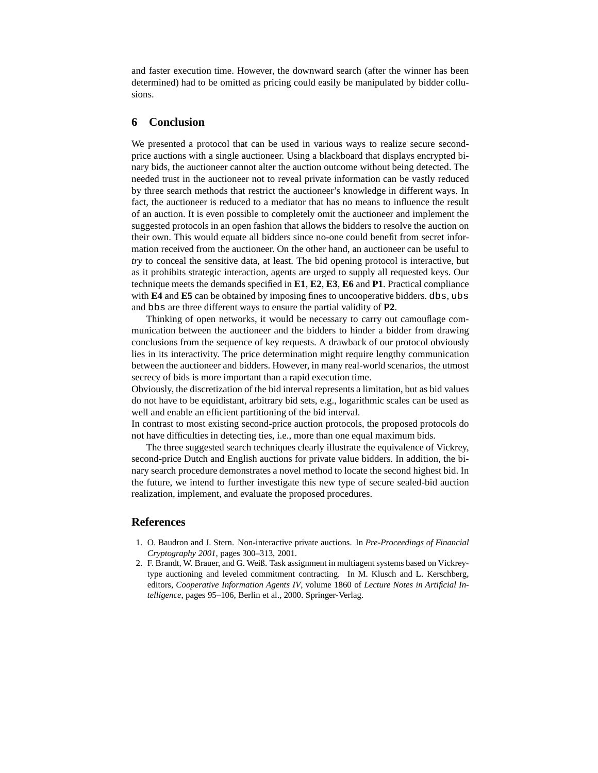and faster execution time. However, the downward search (after the winner has been determined) had to be omitted as pricing could easily be manipulated by bidder collusions.

## **6 Conclusion**

We presented a protocol that can be used in various ways to realize secure secondprice auctions with a single auctioneer. Using a blackboard that displays encrypted binary bids, the auctioneer cannot alter the auction outcome without being detected. The needed trust in the auctioneer not to reveal private information can be vastly reduced by three search methods that restrict the auctioneer's knowledge in different ways. In fact, the auctioneer is reduced to a mediator that has no means to influence the result of an auction. It is even possible to completely omit the auctioneer and implement the suggested protocols in an open fashion that allows the bidders to resolve the auction on their own. This would equate all bidders since no-one could benefit from secret information received from the auctioneer. On the other hand, an auctioneer can be useful to *try* to conceal the sensitive data, at least. The bid opening protocol is interactive, but as it prohibits strategic interaction, agents are urged to supply all requested keys. Our technique meets the demands specified in **E1**, **E2**, **E3**, **E6** and **P1**. Practical compliance with **E4** and **E5** can be obtained by imposing fines to uncooperative bidders. dbs, ubs and bbs are three different ways to ensure the partial validity of **P2**.

Thinking of open networks, it would be necessary to carry out camouflage communication between the auctioneer and the bidders to hinder a bidder from drawing conclusions from the sequence of key requests. A drawback of our protocol obviously lies in its interactivity. The price determination might require lengthy communication between the auctioneer and bidders. However, in many real-world scenarios, the utmost secrecy of bids is more important than a rapid execution time.

Obviously, the discretization of the bid interval represents a limitation, but as bid values do not have to be equidistant, arbitrary bid sets, e.g., logarithmic scales can be used as well and enable an efficient partitioning of the bid interval.

In contrast to most existing second-price auction protocols, the proposed protocols do not have difficulties in detecting ties, i.e., more than one equal maximum bids.

The three suggested search techniques clearly illustrate the equivalence of Vickrey, second-price Dutch and English auctions for private value bidders. In addition, the binary search procedure demonstrates a novel method to locate the second highest bid. In the future, we intend to further investigate this new type of secure sealed-bid auction realization, implement, and evaluate the proposed procedures.

## **References**

- 1. O. Baudron and J. Stern. Non-interactive private auctions. In *Pre-Proceedings of Financial Cryptography 2001*, pages 300–313, 2001.
- 2. F. Brandt, W. Brauer, and G. Weiß. Task assignment in multiagent systems based on Vickreytype auctioning and leveled commitment contracting. In M. Klusch and L. Kerschberg, editors, *Cooperative Information Agents IV*, volume 1860 of *Lecture Notes in Artificial Intelligence*, pages 95–106, Berlin et al., 2000. Springer-Verlag.